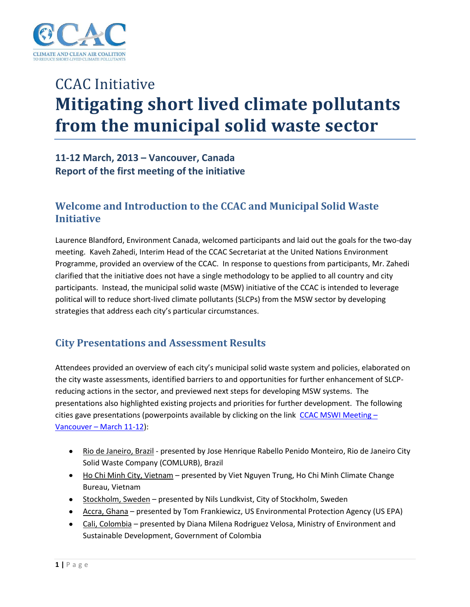

# CCAC Initiative **Mitigating short lived climate pollutants from the municipal solid waste sector**

## **11-12 March, 2013 – Vancouver, Canada Report of the first meeting of the initiative**

## **Welcome and Introduction to the CCAC and Municipal Solid Waste Initiative**

Laurence Blandford, Environment Canada, welcomed participants and laid out the goals for the two-day meeting. Kaveh Zahedi, Interim Head of the CCAC Secretariat at the United Nations Environment Programme, provided an overview of the CCAC. In response to questions from participants, Mr. Zahedi clarified that the initiative does not have a single methodology to be applied to all country and city participants. Instead, the municipal solid waste (MSW) initiative of the CCAC is intended to leverage political will to reduce short-lived climate pollutants (SLCPs) from the MSW sector by developing strategies that address each city's particular circumstances.

## **City Presentations and Assessment Results**

Attendees provided an overview of each city's municipal solid waste system and policies, elaborated on the city waste assessments, identified barriers to and opportunities for further enhancement of SLCPreducing actions in the sector, and previewed next steps for developing MSW systems. The presentations also highlighted existing projects and priorities for further development. The following cities gave presentations (powerpoints available by clicking on the link [CCAC MSWI Meeting](https://www.dropbox.com/home/CCAC%20MSWI%20Meeting%20-%20Vancouver%20-%20March%2011-12)  $-$ Vancouver – [March 11-12\)](https://www.dropbox.com/home/CCAC%20MSWI%20Meeting%20-%20Vancouver%20-%20March%2011-12):

- Rio de Janeiro, Brazil presented by Jose Henrique Rabello Penido Monteiro, Rio de Janeiro City Solid Waste Company (COMLURB), Brazil
- Ho Chi Minh City, Vietnam presented by Viet Nguyen Trung, Ho Chi Minh Climate Change Bureau, Vietnam
- Stockholm, Sweden presented by Nils Lundkvist, City of Stockholm, Sweden
- Accra, Ghana presented by Tom Frankiewicz, US Environmental Protection Agency (US EPA)
- Cali, Colombia presented by Diana Milena Rodriguez Velosa, Ministry of Environment and Sustainable Development, Government of Colombia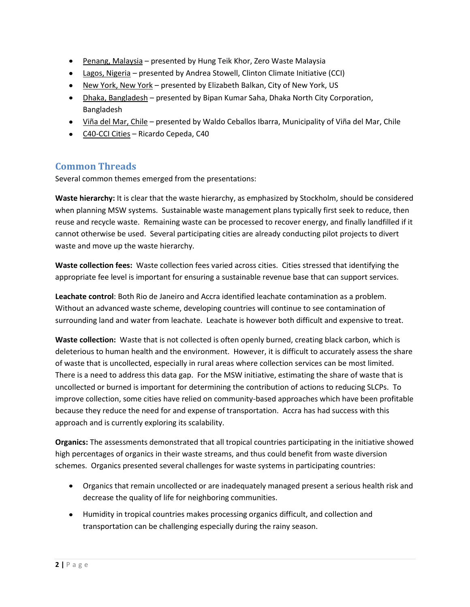- Penang, Malaysia presented by Hung Teik Khor, Zero Waste Malaysia
- Lagos, Nigeria presented by Andrea Stowell, Clinton Climate Initiative (CCI)
- New York, New York presented by Elizabeth Balkan, City of New York, US
- Dhaka, Bangladesh presented by Bipan Kumar Saha, Dhaka North City Corporation, Bangladesh
- Viña del Mar, Chile presented by Waldo Ceballos Ibarra, Municipality of Viña del Mar, Chile
- C40-CCI Cities Ricardo Cepeda, C40

#### **Common Threads**

Several common themes emerged from the presentations:

**Waste hierarchy:** It is clear that the waste hierarchy, as emphasized by Stockholm, should be considered when planning MSW systems. Sustainable waste management plans typically first seek to reduce, then reuse and recycle waste. Remaining waste can be processed to recover energy, and finally landfilled if it cannot otherwise be used. Several participating cities are already conducting pilot projects to divert waste and move up the waste hierarchy.

**Waste collection fees:** Waste collection fees varied across cities. Cities stressed that identifying the appropriate fee level is important for ensuring a sustainable revenue base that can support services.

**Leachate control**: Both Rio de Janeiro and Accra identified leachate contamination as a problem. Without an advanced waste scheme, developing countries will continue to see contamination of surrounding land and water from leachate. Leachate is however both difficult and expensive to treat.

**Waste collection:** Waste that is not collected is often openly burned, creating black carbon, which is deleterious to human health and the environment. However, it is difficult to accurately assess the share of waste that is uncollected, especially in rural areas where collection services can be most limited. There is a need to address this data gap. For the MSW initiative, estimating the share of waste that is uncollected or burned is important for determining the contribution of actions to reducing SLCPs. To improve collection, some cities have relied on community-based approaches which have been profitable because they reduce the need for and expense of transportation. Accra has had success with this approach and is currently exploring its scalability.

**Organics:** The assessments demonstrated that all tropical countries participating in the initiative showed high percentages of organics in their waste streams, and thus could benefit from waste diversion schemes. Organics presented several challenges for waste systems in participating countries:

- Organics that remain uncollected or are inadequately managed present a serious health risk and decrease the quality of life for neighboring communities.
- Humidity in tropical countries makes processing organics difficult, and collection and transportation can be challenging especially during the rainy season.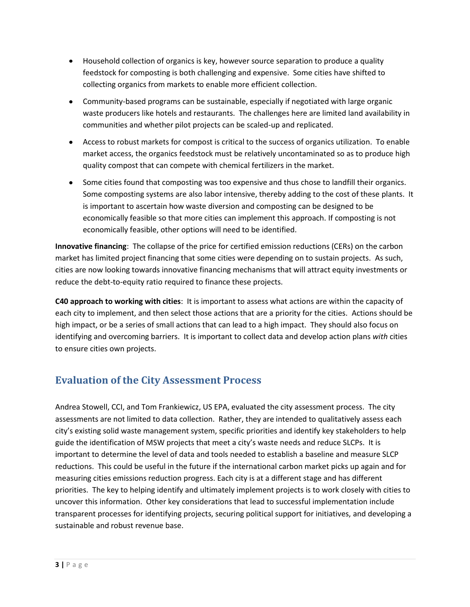- Household collection of organics is key, however source separation to produce a quality feedstock for composting is both challenging and expensive. Some cities have shifted to collecting organics from markets to enable more efficient collection.
- Community-based programs can be sustainable, especially if negotiated with large organic waste producers like hotels and restaurants. The challenges here are limited land availability in communities and whether pilot projects can be scaled-up and replicated.
- Access to robust markets for compost is critical to the success of organics utilization. To enable market access, the organics feedstock must be relatively uncontaminated so as to produce high quality compost that can compete with chemical fertilizers in the market.
- Some cities found that composting was too expensive and thus chose to landfill their organics. Some composting systems are also labor intensive, thereby adding to the cost of these plants. It is important to ascertain how waste diversion and composting can be designed to be economically feasible so that more cities can implement this approach. If composting is not economically feasible, other options will need to be identified.

**Innovative financing**: The collapse of the price for certified emission reductions (CERs) on the carbon market has limited project financing that some cities were depending on to sustain projects. As such, cities are now looking towards innovative financing mechanisms that will attract equity investments or reduce the debt-to-equity ratio required to finance these projects.

**C40 approach to working with cities**: It is important to assess what actions are within the capacity of each city to implement, and then select those actions that are a priority for the cities. Actions should be high impact, or be a series of small actions that can lead to a high impact. They should also focus on identifying and overcoming barriers. It is important to collect data and develop action plans *with* cities to ensure cities own projects.

# **Evaluation of the City Assessment Process**

Andrea Stowell, CCI, and Tom Frankiewicz, US EPA, evaluated the city assessment process. The city assessments are not limited to data collection. Rather, they are intended to qualitatively assess each city's existing solid waste management system, specific priorities and identify key stakeholders to help guide the identification of MSW projects that meet a city's waste needs and reduce SLCPs. It is important to determine the level of data and tools needed to establish a baseline and measure SLCP reductions. This could be useful in the future if the international carbon market picks up again and for measuring cities emissions reduction progress. Each city is at a different stage and has different priorities. The key to helping identify and ultimately implement projects is to work closely with cities to uncover this information. Other key considerations that lead to successful implementation include transparent processes for identifying projects, securing political support for initiatives, and developing a sustainable and robust revenue base.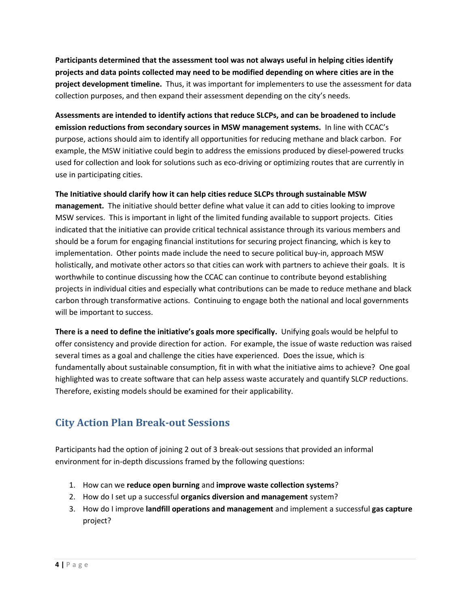**Participants determined that the assessment tool was not always useful in helping cities identify projects and data points collected may need to be modified depending on where cities are in the project development timeline.** Thus, it was important for implementers to use the assessment for data collection purposes, and then expand their assessment depending on the city's needs.

**Assessments are intended to identify actions that reduce SLCPs, and can be broadened to include emission reductions from secondary sources in MSW management systems.** In line with CCAC's purpose, actions should aim to identify all opportunities for reducing methane and black carbon. For example, the MSW initiative could begin to address the emissions produced by diesel-powered trucks used for collection and look for solutions such as eco-driving or optimizing routes that are currently in use in participating cities.

**The Initiative should clarify how it can help cities reduce SLCPs through sustainable MSW** 

**management.** The initiative should better define what value it can add to cities looking to improve MSW services. This is important in light of the limited funding available to support projects. Cities indicated that the initiative can provide critical technical assistance through its various members and should be a forum for engaging financial institutions for securing project financing, which is key to implementation. Other points made include the need to secure political buy-in, approach MSW holistically, and motivate other actors so that cities can work with partners to achieve their goals. It is worthwhile to continue discussing how the CCAC can continue to contribute beyond establishing projects in individual cities and especially what contributions can be made to reduce methane and black carbon through transformative actions. Continuing to engage both the national and local governments will be important to success.

**There is a need to define the initiative's goals more specifically.** Unifying goals would be helpful to offer consistency and provide direction for action. For example, the issue of waste reduction was raised several times as a goal and challenge the cities have experienced. Does the issue, which is fundamentally about sustainable consumption, fit in with what the initiative aims to achieve? One goal highlighted was to create software that can help assess waste accurately and quantify SLCP reductions. Therefore, existing models should be examined for their applicability.

## **City Action Plan Break-out Sessions**

Participants had the option of joining 2 out of 3 break-out sessions that provided an informal environment for in-depth discussions framed by the following questions:

- 1. How can we **reduce open burning** and **improve waste collection systems**?
- 2. How do I set up a successful **organics diversion and management** system?
- 3. How do I improve **landfill operations and management** and implement a successful **gas capture**  project?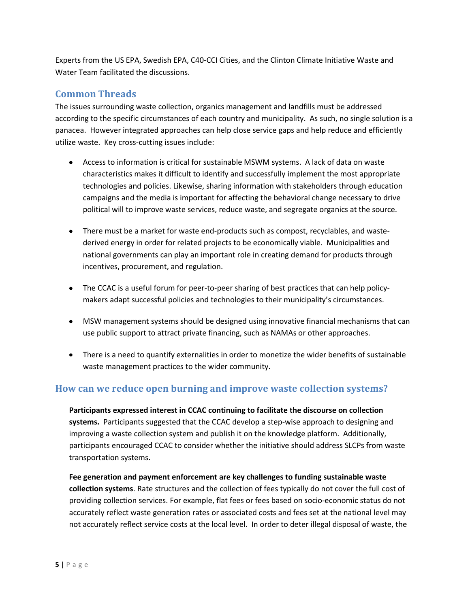Experts from the US EPA, Swedish EPA, C40-CCI Cities, and the Clinton Climate Initiative Waste and Water Team facilitated the discussions.

#### **Common Threads**

The issues surrounding waste collection, organics management and landfills must be addressed according to the specific circumstances of each country and municipality. As such, no single solution is a panacea. However integrated approaches can help close service gaps and help reduce and efficiently utilize waste. Key cross-cutting issues include:

- Access to information is critical for sustainable MSWM systems. A lack of data on waste characteristics makes it difficult to identify and successfully implement the most appropriate technologies and policies. Likewise, sharing information with stakeholders through education campaigns and the media is important for affecting the behavioral change necessary to drive political will to improve waste services, reduce waste, and segregate organics at the source.
- There must be a market for waste end-products such as compost, recyclables, and wastederived energy in order for related projects to be economically viable. Municipalities and national governments can play an important role in creating demand for products through incentives, procurement, and regulation.
- The CCAC is a useful forum for peer-to-peer sharing of best practices that can help policymakers adapt successful policies and technologies to their municipality's circumstances.
- MSW management systems should be designed using innovative financial mechanisms that can use public support to attract private financing, such as NAMAs or other approaches.
- There is a need to quantify externalities in order to monetize the wider benefits of sustainable waste management practices to the wider community.

#### **How can we reduce open burning and improve waste collection systems?**

**Participants expressed interest in CCAC continuing to facilitate the discourse on collection systems.** Participants suggested that the CCAC develop a step-wise approach to designing and improving a waste collection system and publish it on the knowledge platform. Additionally, participants encouraged CCAC to consider whether the initiative should address SLCPs from waste transportation systems.

**Fee generation and payment enforcement are key challenges to funding sustainable waste collection systems**. Rate structures and the collection of fees typically do not cover the full cost of providing collection services. For example, flat fees or fees based on socio-economic status do not accurately reflect waste generation rates or associated costs and fees set at the national level may not accurately reflect service costs at the local level. In order to deter illegal disposal of waste, the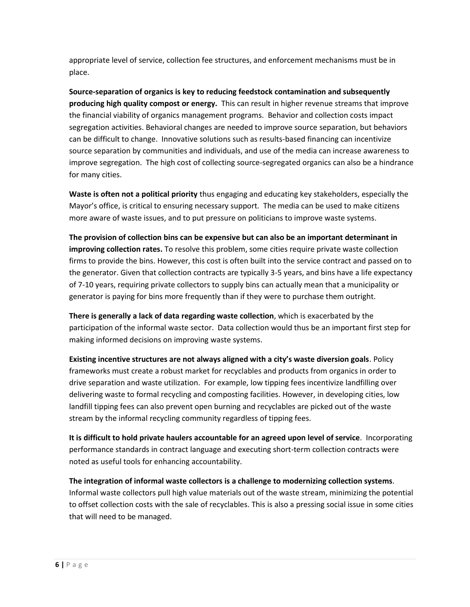appropriate level of service, collection fee structures, and enforcement mechanisms must be in place.

**Source-separation of organics is key to reducing feedstock contamination and subsequently producing high quality compost or energy.** This can result in higher revenue streams that improve the financial viability of organics management programs. Behavior and collection costs impact segregation activities. Behavioral changes are needed to improve source separation, but behaviors can be difficult to change. Innovative solutions such as results-based financing can incentivize source separation by communities and individuals, and use of the media can increase awareness to improve segregation. The high cost of collecting source-segregated organics can also be a hindrance for many cities.

**Waste is often not a political priority** thus engaging and educating key stakeholders, especially the Mayor's office, is critical to ensuring necessary support. The media can be used to make citizens more aware of waste issues, and to put pressure on politicians to improve waste systems.

**The provision of collection bins can be expensive but can also be an important determinant in improving collection rates.** To resolve this problem, some cities require private waste collection firms to provide the bins. However, this cost is often built into the service contract and passed on to the generator. Given that collection contracts are typically 3-5 years, and bins have a life expectancy of 7-10 years, requiring private collectors to supply bins can actually mean that a municipality or generator is paying for bins more frequently than if they were to purchase them outright.

**There is generally a lack of data regarding waste collection**, which is exacerbated by the participation of the informal waste sector. Data collection would thus be an important first step for making informed decisions on improving waste systems.

**Existing incentive structures are not always aligned with a city's waste diversion goals**. Policy frameworks must create a robust market for recyclables and products from organics in order to drive separation and waste utilization. For example, low tipping fees incentivize landfilling over delivering waste to formal recycling and composting facilities. However, in developing cities, low landfill tipping fees can also prevent open burning and recyclables are picked out of the waste stream by the informal recycling community regardless of tipping fees.

**It is difficult to hold private haulers accountable for an agreed upon level of service**. Incorporating performance standards in contract language and executing short-term collection contracts were noted as useful tools for enhancing accountability.

**The integration of informal waste collectors is a challenge to modernizing collection systems**. Informal waste collectors pull high value materials out of the waste stream, minimizing the potential to offset collection costs with the sale of recyclables. This is also a pressing social issue in some cities that will need to be managed.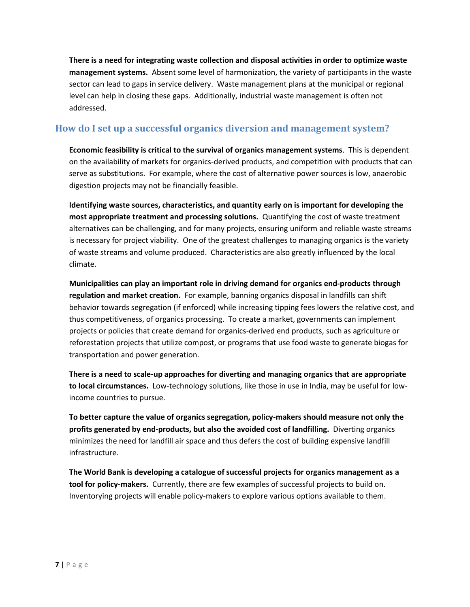**There is a need for integrating waste collection and disposal activities in order to optimize waste management systems.** Absent some level of harmonization, the variety of participants in the waste sector can lead to gaps in service delivery. Waste management plans at the municipal or regional level can help in closing these gaps. Additionally, industrial waste management is often not addressed.

#### **How do I set up a successful organics diversion and management system?**

**Economic feasibility is critical to the survival of organics management systems**. This is dependent on the availability of markets for organics-derived products, and competition with products that can serve as substitutions. For example, where the cost of alternative power sources is low, anaerobic digestion projects may not be financially feasible.

**Identifying waste sources, characteristics, and quantity early on is important for developing the most appropriate treatment and processing solutions.** Quantifying the cost of waste treatment alternatives can be challenging, and for many projects, ensuring uniform and reliable waste streams is necessary for project viability. One of the greatest challenges to managing organics is the variety of waste streams and volume produced. Characteristics are also greatly influenced by the local climate.

**Municipalities can play an important role in driving demand for organics end-products through regulation and market creation.** For example, banning organics disposal in landfills can shift behavior towards segregation (if enforced) while increasing tipping fees lowers the relative cost, and thus competitiveness, of organics processing. To create a market, governments can implement projects or policies that create demand for organics-derived end products, such as agriculture or reforestation projects that utilize compost, or programs that use food waste to generate biogas for transportation and power generation.

**There is a need to scale-up approaches for diverting and managing organics that are appropriate to local circumstances.** Low-technology solutions, like those in use in India, may be useful for lowincome countries to pursue.

**To better capture the value of organics segregation, policy-makers should measure not only the profits generated by end-products, but also the avoided cost of landfilling.** Diverting organics minimizes the need for landfill air space and thus defers the cost of building expensive landfill infrastructure.

**The World Bank is developing a catalogue of successful projects for organics management as a tool for policy-makers.** Currently, there are few examples of successful projects to build on. Inventorying projects will enable policy-makers to explore various options available to them.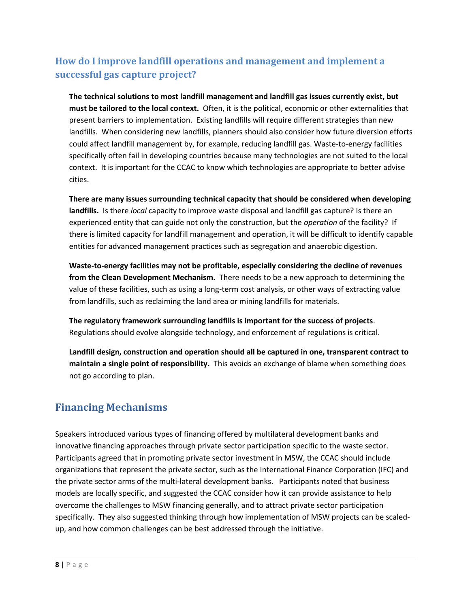## **How do I improve landfill operations and management and implement a successful gas capture project?**

**The technical solutions to most landfill management and landfill gas issues currently exist, but must be tailored to the local context.** Often, it is the political, economic or other externalities that present barriers to implementation. Existing landfills will require different strategies than new landfills. When considering new landfills, planners should also consider how future diversion efforts could affect landfill management by, for example, reducing landfill gas. Waste-to-energy facilities specifically often fail in developing countries because many technologies are not suited to the local context. It is important for the CCAC to know which technologies are appropriate to better advise cities.

**There are many issues surrounding technical capacity that should be considered when developing landfills.** Is there *local* capacity to improve waste disposal and landfill gas capture? Is there an experienced entity that can guide not only the construction, but the *operation* of the facility? If there is limited capacity for landfill management and operation, it will be difficult to identify capable entities for advanced management practices such as segregation and anaerobic digestion.

**Waste-to-energy facilities may not be profitable, especially considering the decline of revenues from the Clean Development Mechanism.** There needs to be a new approach to determining the value of these facilities, such as using a long-term cost analysis, or other ways of extracting value from landfills, such as reclaiming the land area or mining landfills for materials.

**The regulatory framework surrounding landfills is important for the success of projects**. Regulations should evolve alongside technology, and enforcement of regulations is critical.

**Landfill design, construction and operation should all be captured in one, transparent contract to maintain a single point of responsibility.** This avoids an exchange of blame when something does not go according to plan.

## **Financing Mechanisms**

Speakers introduced various types of financing offered by multilateral development banks and innovative financing approaches through private sector participation specific to the waste sector. Participants agreed that in promoting private sector investment in MSW, the CCAC should include organizations that represent the private sector, such as the International Finance Corporation (IFC) and the private sector arms of the multi-lateral development banks. Participants noted that business models are locally specific, and suggested the CCAC consider how it can provide assistance to help overcome the challenges to MSW financing generally, and to attract private sector participation specifically. They also suggested thinking through how implementation of MSW projects can be scaledup, and how common challenges can be best addressed through the initiative.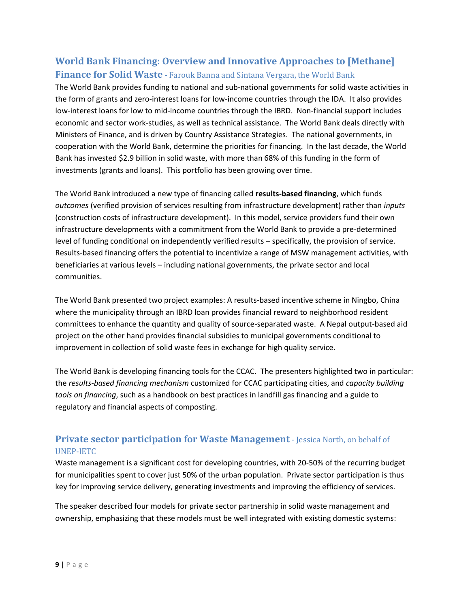## **World Bank Financing: Overview and Innovative Approaches to [Methane] Finance for Solid Waste -** Farouk Banna and Sintana Vergara, the World Bank

The World Bank provides funding to national and sub-national governments for solid waste activities in the form of grants and zero-interest loans for low-income countries through the IDA. It also provides low-interest loans for low to mid-income countries through the IBRD. Non-financial support includes economic and sector work-studies, as well as technical assistance. The World Bank deals directly with Ministers of Finance, and is driven by Country Assistance Strategies. The national governments, in cooperation with the World Bank, determine the priorities for financing. In the last decade, the World Bank has invested \$2.9 billion in solid waste, with more than 68% of this funding in the form of investments (grants and loans). This portfolio has been growing over time.

The World Bank introduced a new type of financing called **results-based financing**, which funds *outcomes* (verified provision of services resulting from infrastructure development) rather than *inputs* (construction costs of infrastructure development).In this model, service providers fund their own infrastructure developments with a commitment from the World Bank to provide a pre-determined level of funding conditional on independently verified results – specifically, the provision of service. Results-based financing offers the potential to incentivize a range of MSW management activities, with beneficiaries at various levels – including national governments, the private sector and local communities.

The World Bank presented two project examples: A results-based incentive scheme in Ningbo, China where the municipality through an IBRD loan provides financial reward to neighborhood resident committees to enhance the quantity and quality of source-separated waste. A Nepal output-based aid project on the other hand provides financial subsidies to municipal governments conditional to improvement in collection of solid waste fees in exchange for high quality service.

The World Bank is developing financing tools for the CCAC. The presenters highlighted two in particular: the *results-based financing mechanism* customized for CCAC participating cities, and *capacity building tools on financing*, such as a handbook on best practices in landfill gas financing and a guide to regulatory and financial aspects of composting.

#### **Private sector participation for Waste Management** - Jessica North, on behalf of UNEP-IETC

Waste management is a significant cost for developing countries, with 20-50% of the recurring budget for municipalities spent to cover just 50% of the urban population. Private sector participation is thus key for improving service delivery, generating investments and improving the efficiency of services.

The speaker described four models for private sector partnership in solid waste management and ownership, emphasizing that these models must be well integrated with existing domestic systems: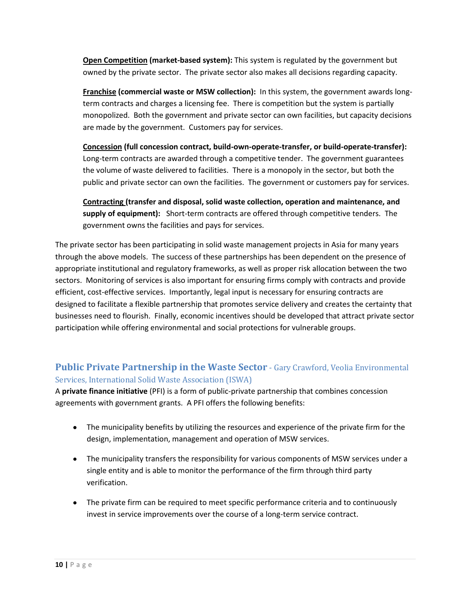**Open Competition (market-based system):** This system is regulated by the government but owned by the private sector. The private sector also makes all decisions regarding capacity.

**Franchise (commercial waste or MSW collection):** In this system, the government awards longterm contracts and charges a licensing fee. There is competition but the system is partially monopolized. Both the government and private sector can own facilities, but capacity decisions are made by the government. Customers pay for services.

**Concession (full concession contract, build-own-operate-transfer, or build-operate-transfer):** Long-term contracts are awarded through a competitive tender. The government guarantees the volume of waste delivered to facilities. There is a monopoly in the sector, but both the public and private sector can own the facilities. The government or customers pay for services.

**Contracting (transfer and disposal, solid waste collection, operation and maintenance, and supply of equipment):** Short-term contracts are offered through competitive tenders. The government owns the facilities and pays for services.

The private sector has been participating in solid waste management projects in Asia for many years through the above models. The success of these partnerships has been dependent on the presence of appropriate institutional and regulatory frameworks, as well as proper risk allocation between the two sectors. Monitoring of services is also important for ensuring firms comply with contracts and provide efficient, cost-effective services. Importantly, legal input is necessary for ensuring contracts are designed to facilitate a flexible partnership that promotes service delivery and creates the certainty that businesses need to flourish. Finally, economic incentives should be developed that attract private sector participation while offering environmental and social protections for vulnerable groups.

#### **Public Private Partnership in the Waste Sector** - Gary Crawford, Veolia Environmental Services, International Solid Waste Association (ISWA)

A **private finance initiative** (PFI) is a form of public-private partnership that combines concession agreements with government grants. A PFI offers the following benefits:

- The municipality benefits by utilizing the resources and experience of the private firm for the design, implementation, management and operation of MSW services.
- $\bullet$ The municipality transfers the responsibility for various components of MSW services under a single entity and is able to monitor the performance of the firm through third party verification.
- The private firm can be required to meet specific performance criteria and to continuously invest in service improvements over the course of a long-term service contract.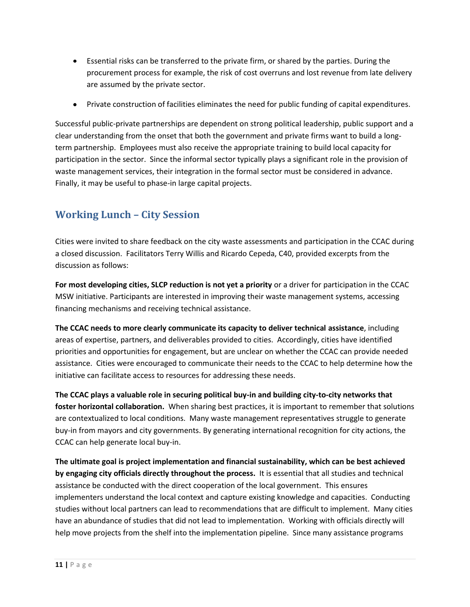- Essential risks can be transferred to the private firm, or shared by the parties. During the  $\bullet$ procurement process for example, the risk of cost overruns and lost revenue from late delivery are assumed by the private sector.
- Private construction of facilities eliminates the need for public funding of capital expenditures.

Successful public-private partnerships are dependent on strong political leadership, public support and a clear understanding from the onset that both the government and private firms want to build a longterm partnership. Employees must also receive the appropriate training to build local capacity for participation in the sector. Since the informal sector typically plays a significant role in the provision of waste management services, their integration in the formal sector must be considered in advance. Finally, it may be useful to phase-in large capital projects.

## **Working Lunch – City Session**

Cities were invited to share feedback on the city waste assessments and participation in the CCAC during a closed discussion. Facilitators Terry Willis and Ricardo Cepeda, C40, provided excerpts from the discussion as follows:

**For most developing cities, SLCP reduction is not yet a priority** or a driver for participation in the CCAC MSW initiative. Participants are interested in improving their waste management systems, accessing financing mechanisms and receiving technical assistance.

**The CCAC needs to more clearly communicate its capacity to deliver technical assistance**, including areas of expertise, partners, and deliverables provided to cities. Accordingly, cities have identified priorities and opportunities for engagement, but are unclear on whether the CCAC can provide needed assistance. Cities were encouraged to communicate their needs to the CCAC to help determine how the initiative can facilitate access to resources for addressing these needs.

**The CCAC plays a valuable role in securing political buy-in and building city-to-city networks that foster horizontal collaboration.** When sharing best practices, it is important to remember that solutions are contextualized to local conditions. Many waste management representatives struggle to generate buy-in from mayors and city governments. By generating international recognition for city actions, the CCAC can help generate local buy-in.

**The ultimate goal is project implementation and financial sustainability, which can be best achieved by engaging city officials directly throughout the process.** It is essential that all studies and technical assistance be conducted with the direct cooperation of the local government. This ensures implementers understand the local context and capture existing knowledge and capacities. Conducting studies without local partners can lead to recommendations that are difficult to implement. Many cities have an abundance of studies that did not lead to implementation. Working with officials directly will help move projects from the shelf into the implementation pipeline. Since many assistance programs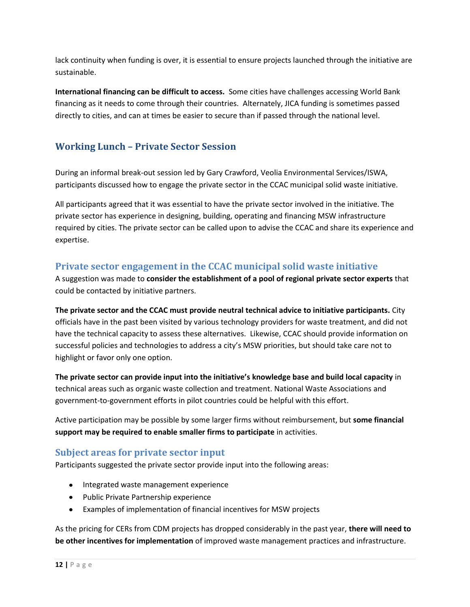lack continuity when funding is over, it is essential to ensure projects launched through the initiative are sustainable.

**International financing can be difficult to access.** Some cities have challenges accessing World Bank financing as it needs to come through their countries. Alternately, JICA funding is sometimes passed directly to cities, and can at times be easier to secure than if passed through the national level.

### **Working Lunch – Private Sector Session**

During an informal break-out session led by Gary Crawford, Veolia Environmental Services/ISWA, participants discussed how to engage the private sector in the CCAC municipal solid waste initiative.

All participants agreed that it was essential to have the private sector involved in the initiative. The private sector has experience in designing, building, operating and financing MSW infrastructure required by cities. The private sector can be called upon to advise the CCAC and share its experience and expertise.

#### **Private sector engagement in the CCAC municipal solid waste initiative**

A suggestion was made to **consider the establishment of a pool of regional private sector experts** that could be contacted by initiative partners.

**The private sector and the CCAC must provide neutral technical advice to initiative participants.** City officials have in the past been visited by various technology providers for waste treatment, and did not have the technical capacity to assess these alternatives. Likewise, CCAC should provide information on successful policies and technologies to address a city's MSW priorities, but should take care not to highlight or favor only one option.

**The private sector can provide input into the initiative's knowledge base and build local capacity** in technical areas such as organic waste collection and treatment. National Waste Associations and government-to-government efforts in pilot countries could be helpful with this effort.

Active participation may be possible by some larger firms without reimbursement, but **some financial support may be required to enable smaller firms to participate** in activities.

#### **Subject areas for private sector input**

Participants suggested the private sector provide input into the following areas:

- Integrated waste management experience
- Public Private Partnership experience
- Examples of implementation of financial incentives for MSW projects

As the pricing for CERs from CDM projects has dropped considerably in the past year, **there will need to be other incentives for implementation** of improved waste management practices and infrastructure.